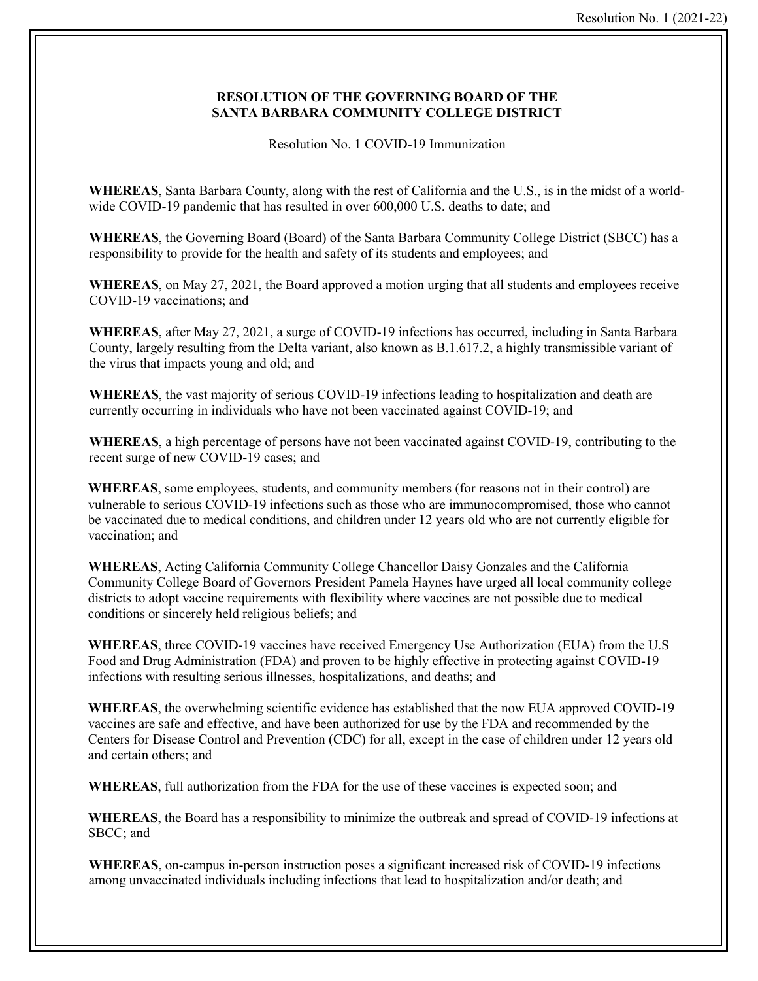## **RESOLUTION OF THE GOVERNING BOARD OF THE SANTA BARBARA COMMUNITY COLLEGE DISTRICT**

Resolution No. 1 COVID-19 Immunization

**WHEREAS**, Santa Barbara County, along with the rest of California and the U.S., is in the midst of a worldwide COVID-19 pandemic that has resulted in over 600,000 U.S. deaths to date; and

**WHEREAS**, the Governing Board (Board) of the Santa Barbara Community College District (SBCC) has a responsibility to provide for the health and safety of its students and employees; and

**WHEREAS**, on May 27, 2021, the Board approved a motion urging that all students and employees receive COVID-19 vaccinations; and

**WHEREAS**, after May 27, 2021, a surge of COVID-19 infections has occurred, including in Santa Barbara County, largely resulting from the Delta variant, also known as B.1.617.2, a highly transmissible variant of the virus that impacts young and old; and

**WHEREAS**, the vast majority of serious COVID-19 infections leading to hospitalization and death are currently occurring in individuals who have not been vaccinated against COVID-19; and

**WHEREAS**, a high percentage of persons have not been vaccinated against COVID-19, contributing to the recent surge of new COVID-19 cases; and

**WHEREAS**, some employees, students, and community members (for reasons not in their control) are vulnerable to serious COVID-19 infections such as those who are immunocompromised, those who cannot be vaccinated due to medical conditions, and children under 12 years old who are not currently eligible for vaccination; and

**WHEREAS**, Acting California Community College Chancellor Daisy Gonzales and the California Community College Board of Governors President Pamela Haynes have urged all local community college districts to adopt vaccine requirements with flexibility where vaccines are not possible due to medical conditions or sincerely held religious beliefs; and

**WHEREAS**, three COVID-19 vaccines have received Emergency Use Authorization (EUA) from the U.S Food and Drug Administration (FDA) and proven to be highly effective in protecting against COVID-19 infections with resulting serious illnesses, hospitalizations, and deaths; and

**WHEREAS**, the overwhelming scientific evidence has established that the now EUA approved COVID-19 vaccines are safe and effective, and have been authorized for use by the FDA and recommended by the Centers for Disease Control and Prevention (CDC) for all, except in the case of children under 12 years old and certain others; and

**WHEREAS**, full authorization from the FDA for the use of these vaccines is expected soon; and

**WHEREAS**, the Board has a responsibility to minimize the outbreak and spread of COVID-19 infections at SBCC; and

**WHEREAS**, on-campus in-person instruction poses a significant increased risk of COVID-19 infections among unvaccinated individuals including infections that lead to hospitalization and/or death; and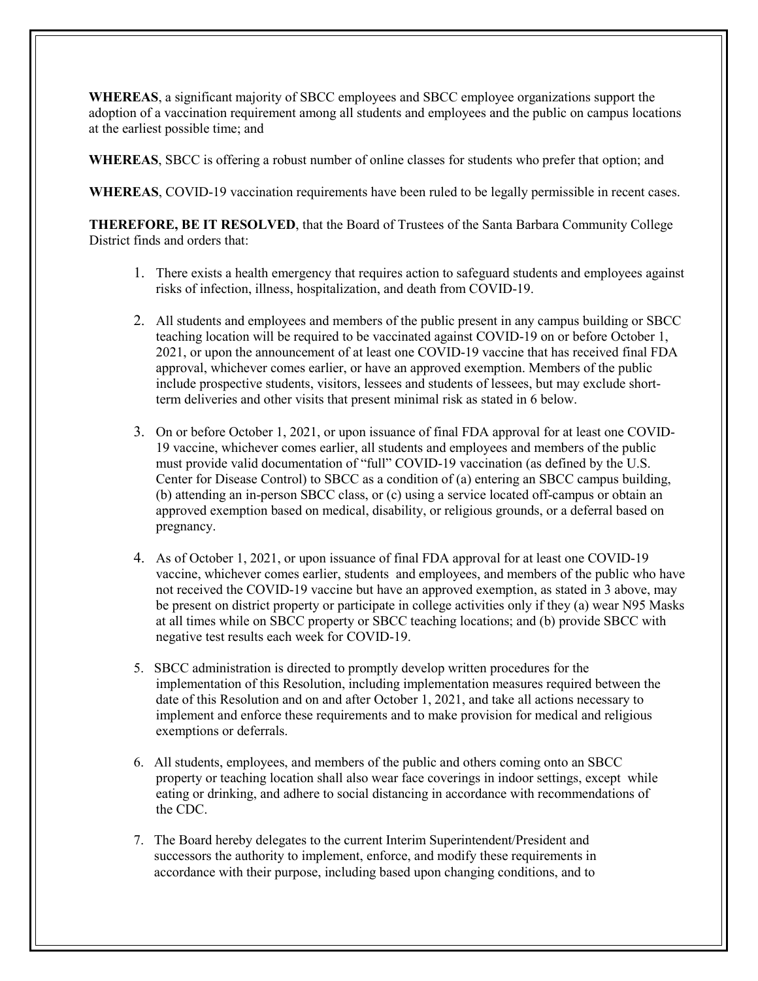**WHEREAS**, a significant majority of SBCC employees and SBCC employee organizations support the adoption of a vaccination requirement among all students and employees and the public on campus locations at the earliest possible time; and

**WHEREAS**, SBCC is offering a robust number of online classes for students who prefer that option; and

**WHEREAS**, COVID-19 vaccination requirements have been ruled to be legally permissible in recent cases.

**THEREFORE, BE IT RESOLVED**, that the Board of Trustees of the Santa Barbara Community College District finds and orders that:

- 1. There exists a health emergency that requires action to safeguard students and employees against risks of infection, illness, hospitalization, and death from COVID-19.
- 2. All students and employees and members of the public present in any campus building or SBCC teaching location will be required to be vaccinated against COVID-19 on or before October 1, 2021, or upon the announcement of at least one COVID-19 vaccine that has received final FDA approval, whichever comes earlier, or have an approved exemption. Members of the public include prospective students, visitors, lessees and students of lessees, but may exclude shortterm deliveries and other visits that present minimal risk as stated in 6 below.
- 3. On or before October 1, 2021, or upon issuance of final FDA approval for at least one COVID-19 vaccine, whichever comes earlier, all students and employees and members of the public must provide valid documentation of "full" COVID-19 vaccination (as defined by the U.S. Center for Disease Control) to SBCC as a condition of (a) entering an SBCC campus building, (b) attending an in-person SBCC class, or (c) using a service located off-campus or obtain an approved exemption based on medical, disability, or religious grounds, or a deferral based on pregnancy.
- 4. As of October 1, 2021, or upon issuance of final FDA approval for at least one COVID-19 vaccine, whichever comes earlier, students and employees, and members of the public who have not received the COVID-19 vaccine but have an approved exemption, as stated in 3 above, may be present on district property or participate in college activities only if they (a) wear N95 Masks at all times while on SBCC property or SBCC teaching locations; and (b) provide SBCC with negative test results each week for COVID-19.
- 5. SBCC administration is directed to promptly develop written procedures for the implementation of this Resolution, including implementation measures required between the date of this Resolution and on and after October 1, 2021, and take all actions necessary to implement and enforce these requirements and to make provision for medical and religious exemptions or deferrals.
- 6. All students, employees, and members of the public and others coming onto an SBCC property or teaching location shall also wear face coverings in indoor settings, except while eating or drinking, and adhere to social distancing in accordance with recommendations of the CDC.
- 7. The Board hereby delegates to the current Interim Superintendent/President and successors the authority to implement, enforce, and modify these requirements in accordance with their purpose, including based upon changing conditions, and to